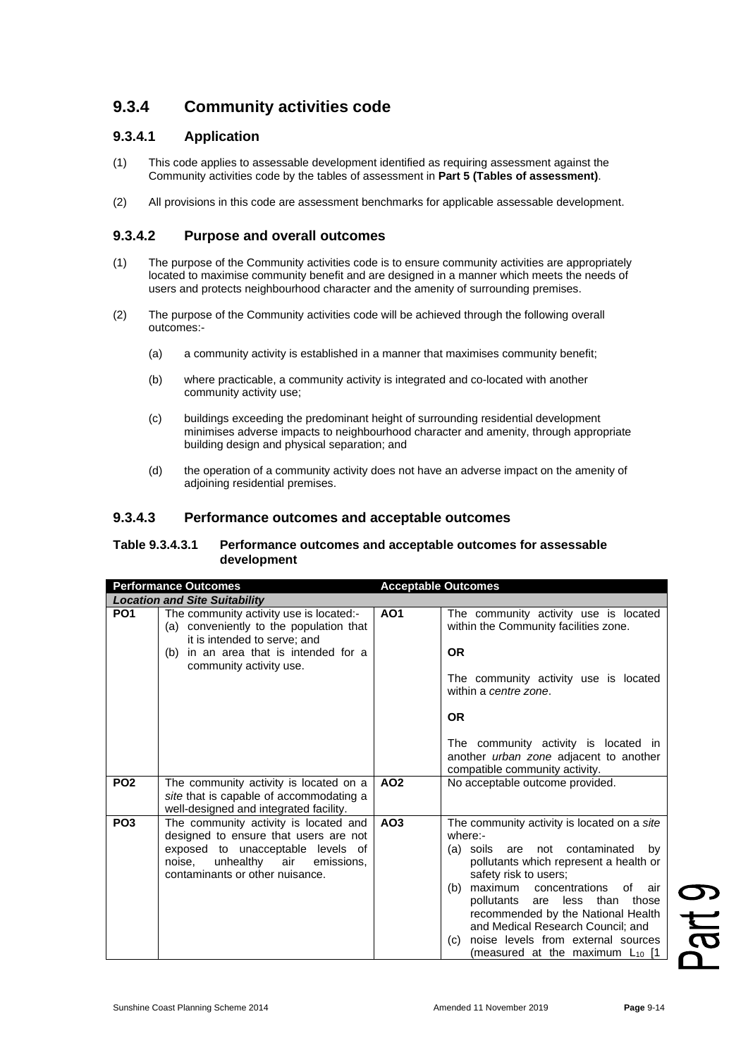# **9.3.4 Community activities code**

## **9.3.4.1 Application**

- (1) This code applies to assessable development identified as requiring assessment against the Community activities code by the tables of assessment in **Part 5 (Tables of assessment)**.
- (2) All provisions in this code are assessment benchmarks for applicable assessable development.

### **9.3.4.2 Purpose and overall outcomes**

- (1) The purpose of the Community activities code is to ensure community activities are appropriately located to maximise community benefit and are designed in a manner which meets the needs of users and protects neighbourhood character and the amenity of surrounding premises.
- (2) The purpose of the Community activities code will be achieved through the following overall outcomes:-
	- (a) a community activity is established in a manner that maximises community benefit;
	- (b) where practicable, a community activity is integrated and co-located with another community activity use;
	- (c) buildings exceeding the predominant height of surrounding residential development minimises adverse impacts to neighbourhood character and amenity, through appropriate building design and physical separation; and
	- (d) the operation of a community activity does not have an adverse impact on the amenity of adjoining residential premises.

#### **9.3.4.3 Performance outcomes and acceptable outcomes**

#### **Table 9.3.4.3.1 Performance outcomes and acceptable outcomes for assessable development**

| <b>Performance Outcomes</b>          |                                                                                                                                                                                                 | <b>Acceptable Outcomes</b> |                                                                                                                                                                                                                                                                                                                                                                                                                                   |  |  |
|--------------------------------------|-------------------------------------------------------------------------------------------------------------------------------------------------------------------------------------------------|----------------------------|-----------------------------------------------------------------------------------------------------------------------------------------------------------------------------------------------------------------------------------------------------------------------------------------------------------------------------------------------------------------------------------------------------------------------------------|--|--|
| <b>Location and Site Suitability</b> |                                                                                                                                                                                                 |                            |                                                                                                                                                                                                                                                                                                                                                                                                                                   |  |  |
| PO <sub>1</sub>                      | The community activity use is located:-<br>(a) conveniently to the population that<br>it is intended to serve; and<br>in an area that is intended for a<br>(b)<br>community activity use.       | <b>AO1</b>                 | The community activity use is located<br>within the Community facilities zone.<br><b>OR</b><br>The community activity use is located<br>within a centre zone.<br><b>OR</b><br>The community activity is located in<br>another urban zone adjacent to another<br>compatible community activity.                                                                                                                                    |  |  |
| PO <sub>2</sub>                      | The community activity is located on a                                                                                                                                                          | AO <sub>2</sub>            | No acceptable outcome provided.                                                                                                                                                                                                                                                                                                                                                                                                   |  |  |
|                                      | site that is capable of accommodating a<br>well-designed and integrated facility.                                                                                                               |                            |                                                                                                                                                                                                                                                                                                                                                                                                                                   |  |  |
| PO <sub>3</sub>                      | The community activity is located and<br>designed to ensure that users are not<br>exposed to unacceptable levels of<br>unhealthy air<br>noise.<br>emissions,<br>contaminants or other nuisance. | AO <sub>3</sub>            | The community activity is located on a site<br>where:-<br>(a) soils are not contaminated<br>by<br>pollutants which represent a health or<br>safety risk to users;<br>maximum<br>concentrations<br>(b)<br>of<br>air<br>pollutants<br>are less than<br>those<br>recommended by the National Health<br>and Medical Research Council; and<br>noise levels from external sources<br>(c)<br>(measured at the maximum L <sub>10</sub> [1 |  |  |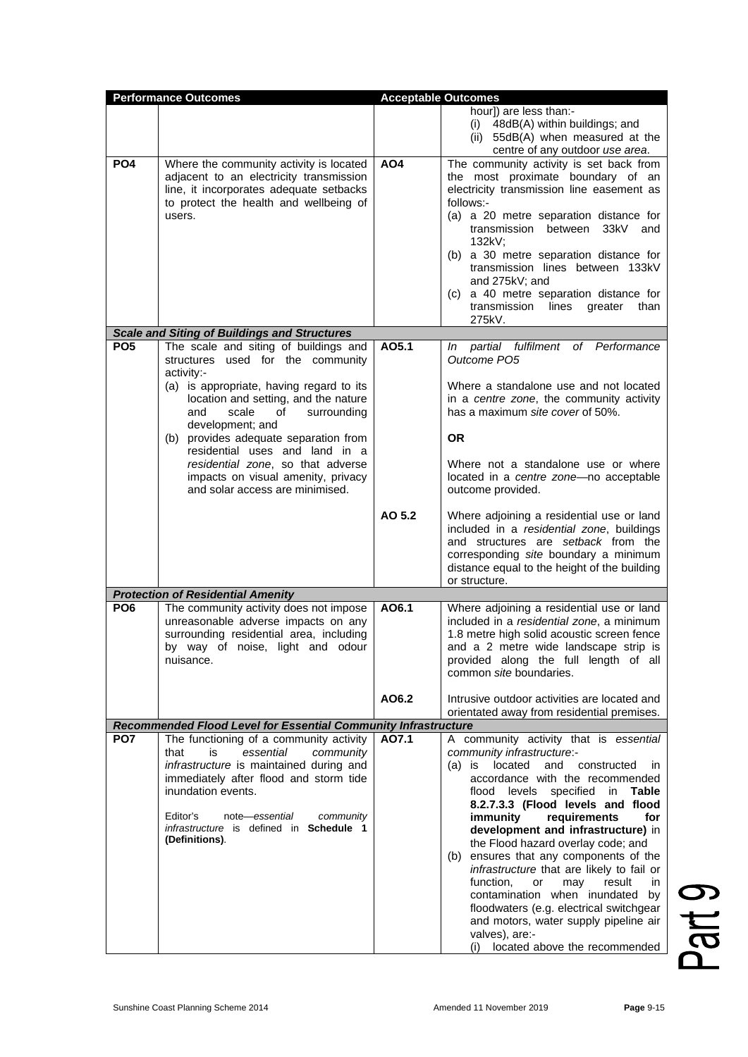| <b>Performance Outcomes</b> |                                                                                                                                                                                                                                                         | <b>Acceptable Outcomes</b> |                                                                                                                                                                                                                                                                                                                                                                                                                                                                                                                                                                                                                                             |
|-----------------------------|---------------------------------------------------------------------------------------------------------------------------------------------------------------------------------------------------------------------------------------------------------|----------------------------|---------------------------------------------------------------------------------------------------------------------------------------------------------------------------------------------------------------------------------------------------------------------------------------------------------------------------------------------------------------------------------------------------------------------------------------------------------------------------------------------------------------------------------------------------------------------------------------------------------------------------------------------|
|                             |                                                                                                                                                                                                                                                         |                            | hour]) are less than:-<br>(i) 48dB(A) within buildings; and<br>(ii) 55dB(A) when measured at the<br>centre of any outdoor use area.                                                                                                                                                                                                                                                                                                                                                                                                                                                                                                         |
| PO <sub>4</sub>             | Where the community activity is located<br>adjacent to an electricity transmission<br>line, it incorporates adequate setbacks<br>to protect the health and wellbeing of<br>users.                                                                       | AO <sub>4</sub>            | The community activity is set back from<br>the most proximate boundary of an<br>electricity transmission line easement as<br>follows:-<br>(a) a 20 metre separation distance for<br>transmission between 33kV and<br>132kV;<br>(b) a 30 metre separation distance for<br>transmission lines between 133kV<br>and 275kV; and<br>a 40 metre separation distance for<br>(C) =<br>transmission lines<br>greater than<br>275kV.                                                                                                                                                                                                                  |
|                             | <b>Scale and Siting of Buildings and Structures</b>                                                                                                                                                                                                     |                            |                                                                                                                                                                                                                                                                                                                                                                                                                                                                                                                                                                                                                                             |
| PO <sub>5</sub>             | The scale and siting of buildings and<br>structures used for the community<br>activity:-                                                                                                                                                                | AO5.1                      | In partial fulfilment of Performance<br>Outcome PO5                                                                                                                                                                                                                                                                                                                                                                                                                                                                                                                                                                                         |
|                             | (a) is appropriate, having regard to its<br>location and setting, and the nature<br>and<br>scale<br>of<br>surrounding<br>development; and                                                                                                               |                            | Where a standalone use and not located<br>in a centre zone, the community activity<br>has a maximum site cover of 50%.                                                                                                                                                                                                                                                                                                                                                                                                                                                                                                                      |
|                             | (b) provides adequate separation from                                                                                                                                                                                                                   |                            | <b>OR</b>                                                                                                                                                                                                                                                                                                                                                                                                                                                                                                                                                                                                                                   |
|                             | residential uses and land in a<br>residential zone, so that adverse<br>impacts on visual amenity, privacy<br>and solar access are minimised.                                                                                                            |                            | Where not a standalone use or where<br>located in a centre zone-no acceptable<br>outcome provided.                                                                                                                                                                                                                                                                                                                                                                                                                                                                                                                                          |
|                             |                                                                                                                                                                                                                                                         | AO 5.2                     | Where adjoining a residential use or land<br>included in a residential zone, buildings<br>and structures are setback from the<br>corresponding site boundary a minimum<br>distance equal to the height of the building<br>or structure.                                                                                                                                                                                                                                                                                                                                                                                                     |
|                             | <b>Protection of Residential Amenity</b>                                                                                                                                                                                                                |                            |                                                                                                                                                                                                                                                                                                                                                                                                                                                                                                                                                                                                                                             |
| PO <sub>6</sub>             | The community activity does not impose<br>unreasonable adverse impacts on any<br>surrounding residential area, including<br>by way of noise, light and odour<br>nuisance.                                                                               | AO6.1                      | Where adjoining a residential use or land<br>included in a residential zone, a minimum<br>1.8 metre high solid acoustic screen fence<br>and a 2 metre wide landscape strip is<br>provided along the full length of all<br>common site boundaries.                                                                                                                                                                                                                                                                                                                                                                                           |
|                             |                                                                                                                                                                                                                                                         | AO6.2                      | Intrusive outdoor activities are located and<br>orientated away from residential premises.                                                                                                                                                                                                                                                                                                                                                                                                                                                                                                                                                  |
| PO <sub>7</sub>             | Recommended Flood Level for Essential Community Infrastructure<br>The functioning of a community activity                                                                                                                                               | A07.1                      | A community activity that is essential                                                                                                                                                                                                                                                                                                                                                                                                                                                                                                                                                                                                      |
|                             | is<br>essential<br>community<br>that<br>infrastructure is maintained during and<br>immediately after flood and storm tide<br>inundation events.<br>Editor's<br>note-essential<br>community<br>infrastructure is defined in Schedule 1<br>(Definitions). |                            | community infrastructure:-<br>located<br>and constructed<br>$(a)$ is<br><sub>in</sub><br>accordance with the recommended<br>flood levels<br>specified<br>Table<br>in<br>8.2.7.3.3 (Flood levels and flood<br>immunity<br>requirements<br>for<br>development and infrastructure) in<br>the Flood hazard overlay code; and<br>ensures that any components of the<br>(b)<br>infrastructure that are likely to fail or<br>function,<br>or<br>result<br>may<br>in.<br>contamination when inundated by<br>floodwaters (e.g. electrical switchgear<br>and motors, water supply pipeline air<br>valves), are:-<br>(i) located above the recommended |